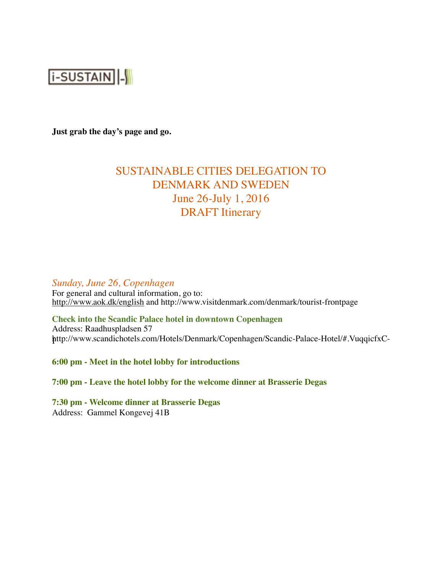

**Just grab the day's page and go.**

# SUSTAINABLE CITIES DELEGATION TO DENMARK AND SWEDEN June 26-July 1, 2016 DRAFT Itinerary

*Sunday, June 26, Copenhagen*

For general and cultural information, go to: <http://www.aok.dk/english> and http://www.visitdenmark.com/denmark/tourist-frontpage

**Check into the Scandic Palace hotel in downtown Copenhagen** Address: Raadhuspladsen 57 http://www.scandichotels.com/Hotels/Denmark/Copenhagen/Scandic-Palace-Hotel/#.VuqqicfxC- I

**6:00 pm - Meet in the hotel lobby for introductions**

**7:00 pm - Leave the hotel lobby for the welcome dinner at Brasserie Degas**

**7:30 pm - Welcome dinner at Brasserie Degas** Address: Gammel Kongevej 41B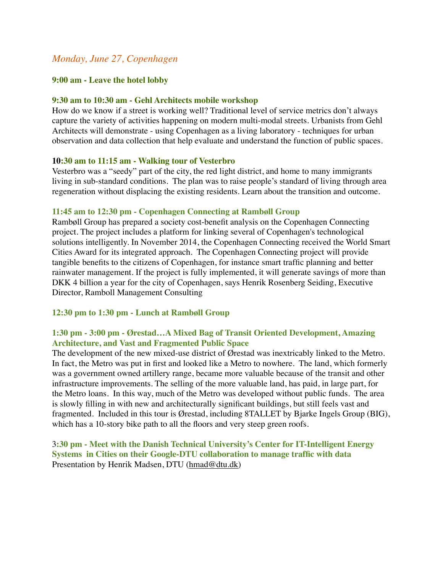# *Monday, June 27, Copenhagen*

#### **9:00 am - Leave the hotel lobby**

#### **9:30 am to 10:30 am - Gehl Architects mobile workshop**

How do we know if a street is working well? Traditional level of service metrics don't always capture the variety of activities happening on modern multi-modal streets. Urbanists from Gehl Architects will demonstrate - using Copenhagen as a living laboratory - techniques for urban observation and data collection that help evaluate and understand the function of public spaces.

#### **10:30 am to 11:15 am - Walking tour of Vesterbro**

Vesterbro was a "seedy" part of the city, the red light district, and home to many immigrants living in sub-standard conditions. The plan was to raise people's standard of living through area regeneration without displacing the existing residents. Learn about the transition and outcome.

#### **11:45 am to 12:30 pm - Copenhagen Connecting at Rambøll Group**

Rambøll Group has prepared a society cost-benefit analysis on the Copenhagen Connecting project. The project includes a platform for linking several of Copenhagen's technological solutions intelligently. In November 2014, the Copenhagen Connecting received the World Smart Cities Award for its integrated approach. The Copenhagen Connecting project will provide tangible benefits to the citizens of Copenhagen, for instance smart traffic planning and better rainwater management. If the project is fully implemented, it will generate savings of more than DKK 4 billion a year for the city of Copenhagen, says Henrik Rosenberg Seiding, Executive Director, Ramboll Management Consulting

#### **12:30 pm to 1:30 pm - Lunch at Rambøll Group**

### **1:30 pm - 3:00 pm - Ørestad…A Mixed Bag of Transit Oriented Development, Amazing Architecture, and Vast and Fragmented Public Space**

The development of the new mixed-use district of Ørestad was inextricably linked to the Metro. In fact, the Metro was put in first and looked like a Metro to nowhere. The land, which formerly was a government owned artillery range, became more valuable because of the transit and other infrastructure improvements. The selling of the more valuable land, has paid, in large part, for the Metro loans. In this way, much of the Metro was developed without public funds. The area is slowly filling in with new and architecturally significant buildings, but still feels vast and fragmented. Included in this tour is Ørestad, including 8TALLET by Bjarke Ingels Group (BIG), which has a 10-story bike path to all the floors and very steep green roofs.

3**:30 pm - Meet with the Danish Technical University's Center for IT-Intelligent Energy Systems in Cities on their Google-DTU collaboration to manage traffic with data** Presentation by Henrik Madsen, DTU [\(hmad@dtu.dk](mailto:hmad@dtu.dk))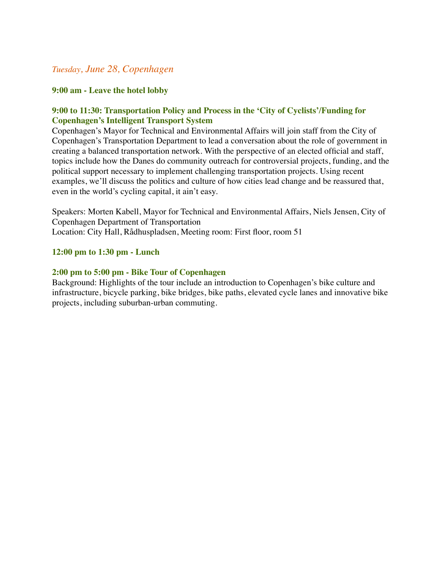# *Tuesday, June 28, Copenhagen*

# **9:00 am - Leave the hotel lobby**

# **9:00 to 11:30: Transportation Policy and Process in the 'City of Cyclists'/Funding for Copenhagen's Intelligent Transport System**

Copenhagen's Mayor for Technical and Environmental Affairs will join staff from the City of Copenhagen's Transportation Department to lead a conversation about the role of government in creating a balanced transportation network. With the perspective of an elected official and staff, topics include how the Danes do community outreach for controversial projects, funding, and the political support necessary to implement challenging transportation projects. Using recent examples, we'll discuss the politics and culture of how cities lead change and be reassured that, even in the world's cycling capital, it ain't easy.

Speakers: Morten Kabell, Mayor for Technical and Environmental Affairs, Niels Jensen, City of Copenhagen Department of Transportation Location: City Hall, Rådhuspladsen, Meeting room: First floor, room 51

# **12:00 pm to 1:30 pm - Lunch**

# **2:00 pm to 5:00 pm - Bike Tour of Copenhagen**

Background: Highlights of the tour include an introduction to Copenhagen's bike culture and infrastructure, bicycle parking, bike bridges, bike paths, elevated cycle lanes and innovative bike projects, including suburban-urban commuting.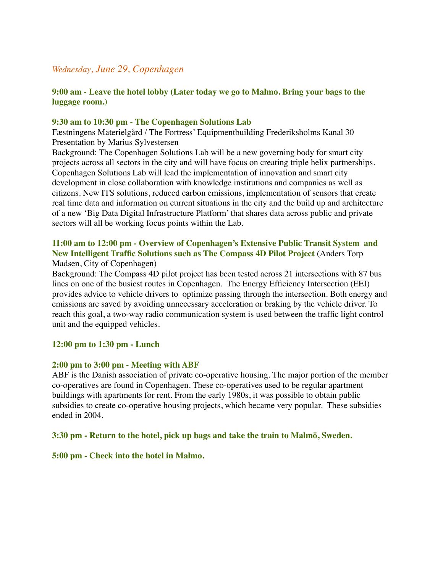# *Wednesday, June 29, Copenhagen*

# **9:00 am - Leave the hotel lobby (Later today we go to Malmo. Bring your bags to the luggage room.)**

#### **9:30 am to 10:30 pm - The Copenhagen Solutions Lab**

Fæstningens Materielgård / The Fortress' Equipmentbuilding Frederiksholms Kanal 30 Presentation by Marius Sylvestersen

Background: The Copenhagen Solutions Lab will be a new governing body for smart city projects across all sectors in the city and will have focus on creating triple helix partnerships. Copenhagen Solutions Lab will lead the implementation of innovation and smart city development in close collaboration with knowledge institutions and companies as well as citizens. New ITS solutions, reduced carbon emissions, implementation of sensors that create real time data and information on current situations in the city and the build up and architecture of a new 'Big Data Digital Infrastructure Platform' that shares data across public and private sectors will all be working focus points within the Lab.

# **11:00 am to 12:00 pm - Overview of Copenhagen's Extensive Public Transit System and New Intelligent Traffic Solutions such as The Compass 4D Pilot Project** (Anders Torp

#### Madsen, City of Copenhagen)

Background: The Compass 4D pilot project has been tested across 21 intersections with 87 bus lines on one of the busiest routes in Copenhagen. The Energy Efficiency Intersection (EEI) provides advice to vehicle drivers to optimize passing through the intersection. Both energy and emissions are saved by avoiding unnecessary acceleration or braking by the vehicle driver. To reach this goal, a two-way radio communication system is used between the traffic light control unit and the equipped vehicles.

#### **12:00 pm to 1:30 pm - Lunch**

#### **2:00 pm to 3:00 pm - Meeting with ABF**

ABF is the Danish association of private co-operative housing. The major portion of the member co-operatives are found in Copenhagen. These co-operatives used to be regular apartment buildings with apartments for rent. From the early 1980s, it was possible to obtain public subsidies to create co-operative housing projects, which became very popular. These subsidies ended in 2004.

#### **3:30 pm - Return to the hotel, pick up bags and take the train to Malmö, Sweden.**

#### **5:00 pm - Check into the hotel in Malmo.**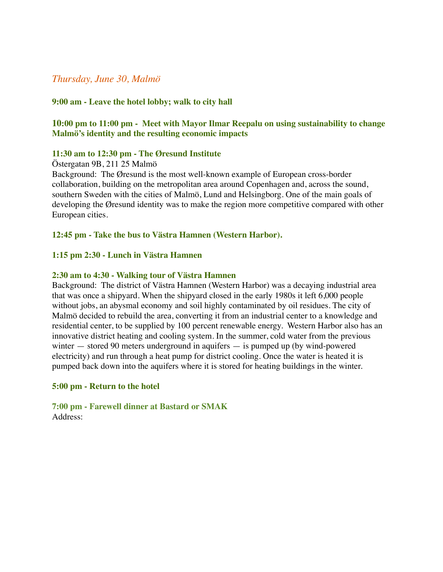# *Thursday, June 30, Malmö*

#### **9:00 am - Leave the hotel lobby; walk to city hall**

# **10:00 pm to 11:00 pm - Meet with Mayor Ilmar Reepalu on using sustainability to change Malmö's identity and the resulting economic impacts**

#### **11:30 am to 12:30 pm - The Øresund Institute**

Östergatan 9B, 211 25 Malmö

Background: The Øresund is the most well-known example of European cross-border collaboration, building on the metropolitan area around Copenhagen and, across the sound, southern Sweden with the cities of Malmö, Lund and Helsingborg. One of the main goals of developing the Øresund identity was to make the region more competitive compared with other European cities.

**12:45 pm - Take the bus to Västra Hamnen (Western Harbor).**

#### **1:15 pm 2:30 - Lunch in Västra Hamnen**

#### **2:30 am to 4:30 - Walking tour of Västra Hamnen**

Background: The district of Västra Hamnen (Western Harbor) was a decaying industrial area that was once a shipyard. When the shipyard closed in the early 1980s it left 6,000 people without jobs, an abysmal economy and soil highly contaminated by oil residues. The city of Malmö decided to rebuild the area, converting it from an industrial center to a knowledge and residential center, to be supplied by 100 percent renewable energy. Western Harbor also has an innovative district heating and cooling system. In the summer, cold water from the previous winter — stored 90 meters underground in aquifers — is pumped up (by wind-powered electricity) and run through a heat pump for district cooling. Once the water is heated it is pumped back down into the aquifers where it is stored for heating buildings in the winter.

#### **5:00 pm - Return to the hotel**

**7:00 pm - Farewell dinner at Bastard or SMAK** Address: